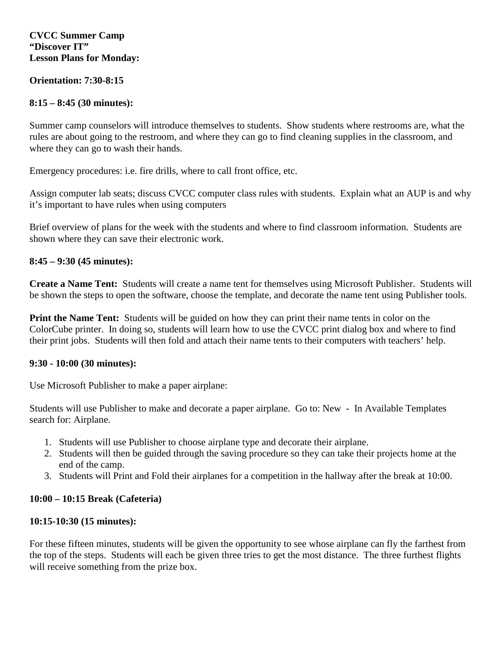### **CVCC Summer Camp "Discover IT" Lesson Plans for Monday:**

### **Orientation: 7:30-8:15**

## **8:15 – 8:45 (30 minutes):**

Summer camp counselors will introduce themselves to students. Show students where restrooms are, what the rules are about going to the restroom, and where they can go to find cleaning supplies in the classroom, and where they can go to wash their hands.

Emergency procedures: i.e. fire drills, where to call front office, etc.

Assign computer lab seats; discuss CVCC computer class rules with students. Explain what an AUP is and why it's important to have rules when using computers

Brief overview of plans for the week with the students and where to find classroom information. Students are shown where they can save their electronic work.

## **8:45 – 9:30 (45 minutes):**

**Create a Name Tent:** Students will create a name tent for themselves using Microsoft Publisher. Students will be shown the steps to open the software, choose the template, and decorate the name tent using Publisher tools.

**Print the Name Tent:** Students will be guided on how they can print their name tents in color on the ColorCube printer. In doing so, students will learn how to use the CVCC print dialog box and where to find their print jobs. Students will then fold and attach their name tents to their computers with teachers' help.

### **9:30 - 10:00 (30 minutes):**

Use Microsoft Publisher to make a paper airplane:

Students will use Publisher to make and decorate a paper airplane. Go to: New - In Available Templates search for: Airplane.

- 1. Students will use Publisher to choose airplane type and decorate their airplane.
- 2. Students will then be guided through the saving procedure so they can take their projects home at the end of the camp.
- 3. Students will Print and Fold their airplanes for a competition in the hallway after the break at 10:00.

# **10:00 – 10:15 Break (Cafeteria)**

### **10:15-10:30 (15 minutes):**

For these fifteen minutes, students will be given the opportunity to see whose airplane can fly the farthest from the top of the steps. Students will each be given three tries to get the most distance. The three furthest flights will receive something from the prize box.